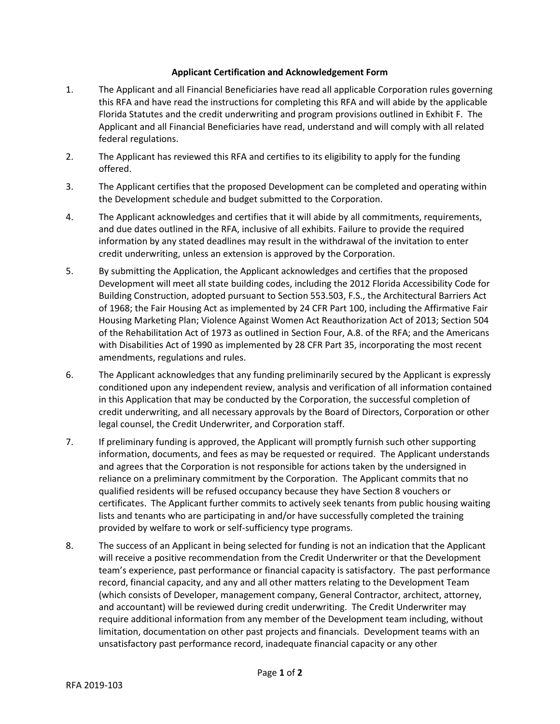## **Applicant Certification and Acknowledgement Form**

- 1. The Applicant and all Financial Beneficiaries have read all applicable Corporation rules governing this RFA and have read the instructions for completing this RFA and will abide by the applicable Florida Statutes and the credit underwriting and program provisions outlined in Exhibit F. The Applicant and all Financial Beneficiaries have read, understand and will comply with all related federal regulations.
- 2. The Applicant has reviewed this RFA and certifies to its eligibility to apply for the funding offered.
- 3. The Applicant certifies that the proposed Development can be completed and operating within the Development schedule and budget submitted to the Corporation.
- 4. The Applicant acknowledges and certifies that it will abide by all commitments, requirements, and due dates outlined in the RFA, inclusive of all exhibits. Failure to provide the required information by any stated deadlines may result in the withdrawal of the invitation to enter credit underwriting, unless an extension is approved by the Corporation.
- 5. By submitting the Application, the Applicant acknowledges and certifies that the proposed Development will meet all state building codes, including the 2012 Florida Accessibility Code for Building Construction, adopted pursuant to Section 553.503, F.S., the Architectural Barriers Act of 1968; the Fair Housing Act as implemented by 24 CFR Part 100, including the Affirmative Fair Housing Marketing Plan; Violence Against Women Act Reauthorization Act of 2013; Section 504 of the Rehabilitation Act of 1973 as outlined in Section Four, A.8. of the RFA; and the Americans with Disabilities Act of 1990 as implemented by 28 CFR Part 35, incorporating the most recent amendments, regulations and rules.
- 6. The Applicant acknowledges that any funding preliminarily secured by the Applicant is expressly conditioned upon any independent review, analysis and verification of all information contained in this Application that may be conducted by the Corporation, the successful completion of credit underwriting, and all necessary approvals by the Board of Directors, Corporation or other legal counsel, the Credit Underwriter, and Corporation staff.
- 7. If preliminary funding is approved, the Applicant will promptly furnish such other supporting information, documents, and fees as may be requested or required. The Applicant understands and agrees that the Corporation is not responsible for actions taken by the undersigned in reliance on a preliminary commitment by the Corporation. The Applicant commits that no qualified residents will be refused occupancy because they have Section 8 vouchers or certificates. The Applicant further commits to actively seek tenants from public housing waiting lists and tenants who are participating in and/or have successfully completed the training provided by welfare to work or self-sufficiency type programs.
- 8. The success of an Applicant in being selected for funding is not an indication that the Applicant will receive a positive recommendation from the Credit Underwriter or that the Development team's experience, past performance or financial capacity is satisfactory. The past performance record, financial capacity, and any and all other matters relating to the Development Team (which consists of Developer, management company, General Contractor, architect, attorney, and accountant) will be reviewed during credit underwriting. The Credit Underwriter may require additional information from any member of the Development team including, without limitation, documentation on other past projects and financials. Development teams with an unsatisfactory past performance record, inadequate financial capacity or any other